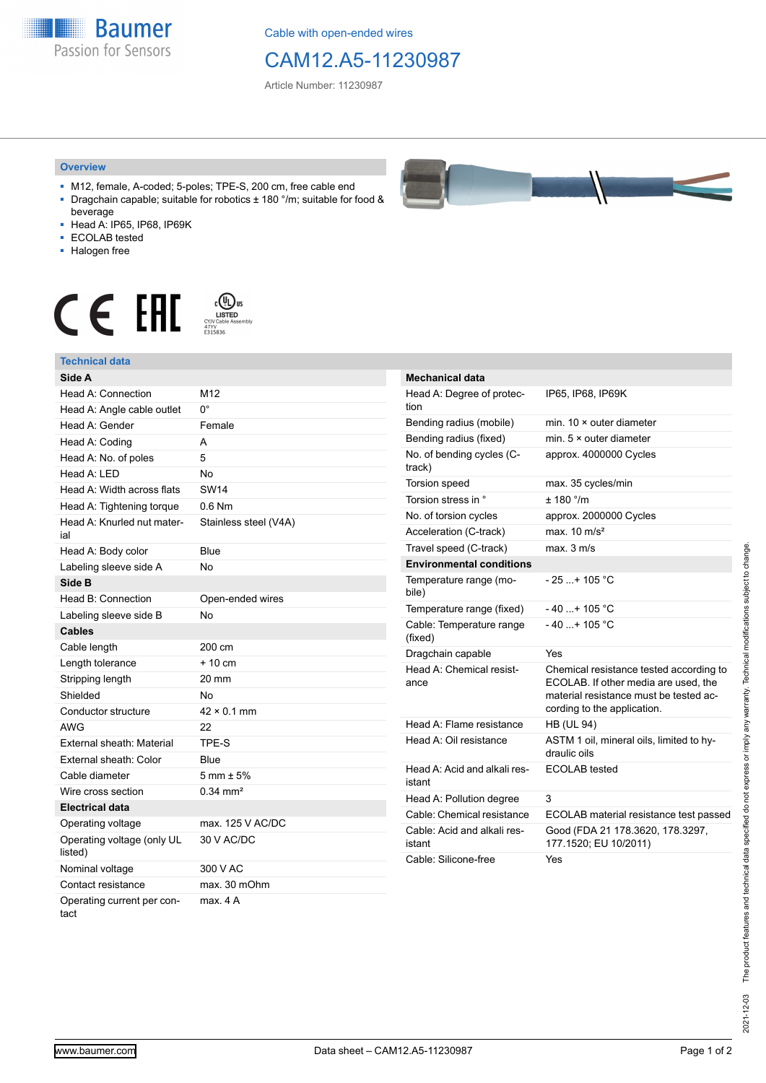**Baumer** Passion for Sensors

Cable with open-ended wires

## CAM12.A5-11230987

Article Number: 11230987

## **Overview**

- M12, female, A-coded; 5-poles; TPE-S, 200 cm, free cable end ■ Dragchain capable; suitable for robotics ± 180 °/m; suitable for food &
- beverage ■ Head A: IP65, IP68, IP69K
- ECOLAB tested
- Halogen free
- 

## $\mathbf{C} \in \mathbb{H}$   $\mathbb{H}$   $\mathbb{H}$   $\mathbb{H}$   $\mathbb{H}$   $\mathbb{H}$   $\mathbb{H}$   $\mathbb{H}$   $\mathbb{H}$   $\mathbb{H}$   $\mathbb{H}$   $\mathbb{H}$   $\mathbb{H}$   $\mathbb{H}$   $\mathbb{H}$   $\mathbb{H}$   $\mathbb{H}$   $\mathbb{H}$   $\mathbb{H}$   $\mathbb{H}$   $\mathbb{H}$   $\mathbb{H}$   $\mathbb{H}$   $\mathbb{H$

| <b>Technical data</b>                 |                        |
|---------------------------------------|------------------------|
| Side A                                |                        |
| Head A: Connection                    | M <sub>12</sub>        |
| Head A: Angle cable outlet            | n°                     |
| Head A: Gender                        | Female                 |
| Head A: Coding                        | А                      |
| Head A: No. of poles                  | 5                      |
| Head $A \cdot IFD$                    | No                     |
| Head A: Width across flats            | <b>SW14</b>            |
| Head A: Tightening torque             | $0.6$ Nm               |
| Head A: Knurled nut mater-<br>ial     | Stainless steel (V4A)  |
| Head A: Body color                    | Blue                   |
| Labeling sleeve side A                | Nο                     |
| Side B                                |                        |
| Head B: Connection                    | Open-ended wires       |
| Labeling sleeve side B                | <b>No</b>              |
| <b>Cables</b>                         |                        |
| Cable length                          | 200 cm                 |
| Length tolerance                      | $+10$ cm               |
| Stripping length                      | 20 mm                  |
| Shielded                              | <b>No</b>              |
| Conductor structure                   | $42 \times 0.1$ mm     |
| AWG                                   | 22                     |
| External sheath: Material             | TPE-S                  |
| External sheath: Color                | Blue                   |
| Cable diameter                        | $5 \text{ mm} \pm 5\%$ |
| Wire cross section                    | $0.34 \text{ mm}^2$    |
| <b>Electrical data</b>                |                        |
| Operating voltage                     | max. 125 V AC/DC       |
| Operating voltage (only UL<br>listed) | 30 V AC/DC             |
| Nominal voltage                       | 300 V AC               |
| Contact resistance                    | max. 30 mOhm           |
|                                       |                        |

Operating current per contact max. 4 A



| <b>Mechanical data</b>                 |                                                                                                                                                          |
|----------------------------------------|----------------------------------------------------------------------------------------------------------------------------------------------------------|
| Head A: Degree of protec-<br>tion      | IP65, IP68, IP69K                                                                                                                                        |
| Bending radius (mobile)                | min. 10 × outer diameter                                                                                                                                 |
| Bending radius (fixed)                 | min. $5 \times$ outer diameter                                                                                                                           |
| No. of bending cycles (C-<br>track)    | approx. 4000000 Cycles                                                                                                                                   |
| <b>Torsion speed</b>                   | max. 35 cycles/min                                                                                                                                       |
| Torsion stress in °                    | ± 180 °/m                                                                                                                                                |
| No. of torsion cycles                  | approx. 2000000 Cycles                                                                                                                                   |
| Acceleration (C-track)                 | max $10 \text{ m/s}^2$                                                                                                                                   |
| Travel speed (C-track)                 | max. 3 m/s                                                                                                                                               |
| <b>Environmental conditions</b>        |                                                                                                                                                          |
| Temperature range (mo-<br>bile)        | - 25 + 105 °C                                                                                                                                            |
| Temperature range (fixed)              | $-40+105 °C$                                                                                                                                             |
| Cable: Temperature range<br>(fixed)    | $-40$ + 105 °C                                                                                                                                           |
| Dragchain capable                      | Yes                                                                                                                                                      |
| Head A: Chemical resist-<br>ance       | Chemical resistance tested according to<br>ECOLAB. If other media are used, the<br>material resistance must be tested ac-<br>cording to the application. |
| Head A: Flame resistance               | <b>HB (UL 94)</b>                                                                                                                                        |
| Head A: Oil resistance                 | ASTM 1 oil, mineral oils, limited to hy-<br>draulic oils                                                                                                 |
| Head A: Acid and alkali res-<br>istant | ECOLAB tested                                                                                                                                            |
| Head A: Pollution degree               | 3                                                                                                                                                        |
| Cable: Chemical resistance             | ECOLAB material resistance test passed                                                                                                                   |
| Cable: Acid and alkali res-<br>istant  | Good (FDA 21 178.3620, 178.3297,<br>177.1520; EU 10/2011)                                                                                                |
| Cable: Silicone-free                   | Yes                                                                                                                                                      |